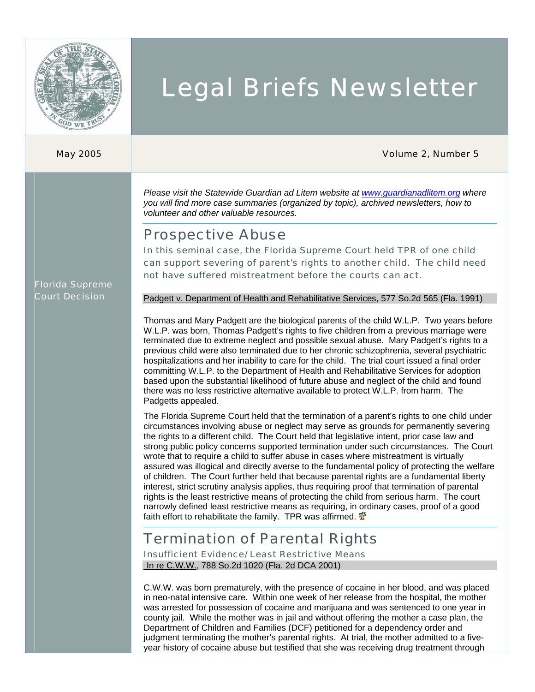

# Legal Briefs Newsletter

#### May 2005 Volume 2, Number 5

*Please visit the Statewide Guardian ad Litem website at [www.guardianadlitem.org](http://www.guarianadlitem.org/) where you will find more case summaries (organized by topic), archived newsletters, how to volunteer and other valuable resources.* 

### Prospective Abuse

In this seminal case, the Florida Supreme Court held TPR of one child can support severing of parent's rights to another child. The child need not have suffered mistreatment before the courts can act.

#### Florida Supreme Court Decision

Padgett v. Department of Health and Rehabilitative Services, 577 So.2d 565 (Fla. 1991)

Thomas and Mary Padgett are the biological parents of the child W.L.P. Two years before W.L.P. was born, Thomas Padgett's rights to five children from a previous marriage were terminated due to extreme neglect and possible sexual abuse. Mary Padgett's rights to a previous child were also terminated due to her chronic schizophrenia, several psychiatric hospitalizations and her inability to care for the child. The trial court issued a final order committing W.L.P. to the Department of Health and Rehabilitative Services for adoption based upon the substantial likelihood of future abuse and neglect of the child and found there was no less restrictive alternative available to protect W.L.P. from harm. The Padgetts appealed.

The Florida Supreme Court held that the termination of a parent's rights to one child under circumstances involving abuse or neglect may serve as grounds for permanently severing the rights to a different child. The Court held that legislative intent, prior case law and strong public policy concerns supported termination under such circumstances. The Court wrote that to require a child to suffer abuse in cases where mistreatment is virtually assured was illogical and directly averse to the fundamental policy of protecting the welfare of children. The Court further held that because parental rights are a fundamental liberty interest, strict scrutiny analysis applies, thus requiring proof that termination of parental rights is the least restrictive means of protecting the child from serious harm. The court narrowly defined least restrictive means as requiring, in ordinary cases, proof of a good faith effort to rehabilitate the family. TPR was affirmed.  $\Phi$ 

# Termination of Parental Rights

Insufficient Evidence/ Least Restrictive Means In re C.W.W., 788 So.2d 1020 (Fla. 2d DCA 2001)

C.W.W. was born prematurely, with the presence of cocaine in her blood, and was placed in neo-natal intensive care. Within one week of her release from the hospital, the mother was arrested for possession of cocaine and marijuana and was sentenced to one year in county jail. While the mother was in jail and without offering the mother a case plan, the Department of Children and Families (DCF) petitioned for a dependency order and judgment terminating the mother's parental rights. At trial, the mother admitted to a fiveyear history of cocaine abuse but testified that she was receiving drug treatment through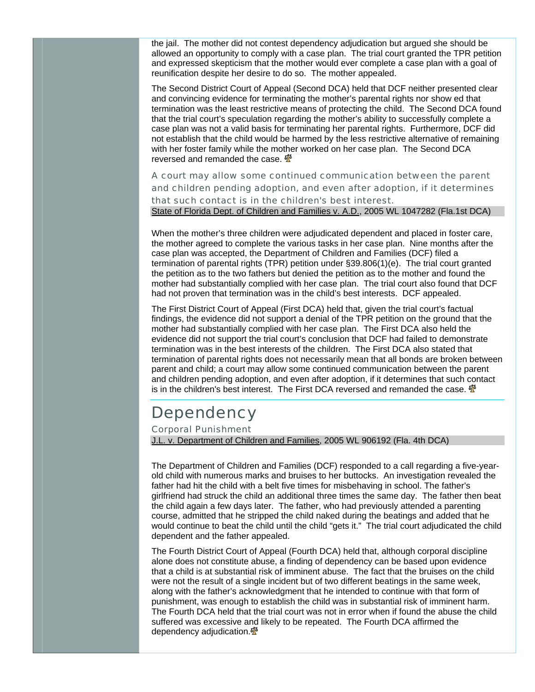the jail. The mother did not contest dependency adjudication but argued she should be allowed an opportunity to comply with a case plan. The trial court granted the TPR petition and expressed skepticism that the mother would ever complete a case plan with a goal of reunification despite her desire to do so. The mother appealed.

The Second District Court of Appeal (Second DCA) held that DCF neither presented clear and convincing evidence for terminating the mother's parental rights nor show ed that termination was the least restrictive means of protecting the child. The Second DCA found that the trial court's speculation regarding the mother's ability to successfully complete a case plan was not a valid basis for terminating her parental rights. Furthermore, DCF did not establish that the child would be harmed by the less restrictive alternative of remaining with her foster family while the mother worked on her case plan. The Second DCA reversed and remanded the case.  $\mathbf{\Phi}$ 

A court may allow some continued communication between the parent and children pending adoption, and even after adoption, if it determines that such contact is in the children's best interest. State of Florida Dept. of Children and Families v. A.D., 2005 WL 1047282 (Fla.1st DCA)

When the mother's three children were adjudicated dependent and placed in foster care, the mother agreed to complete the various tasks in her case plan. Nine months after the case plan was accepted, the Department of Children and Families (DCF) filed a termination of parental rights (TPR) petition under §39.806(1)(e). The trial court granted the petition as to the two fathers but denied the petition as to the mother and found the mother had substantially complied with her case plan. The trial court also found that DCF had not proven that termination was in the child's best interests. DCF appealed.

The First District Court of Appeal (First DCA) held that, given the trial court's factual findings, the evidence did not support a denial of the TPR petition on the ground that the mother had substantially complied with her case plan. The First DCA also held the evidence did not support the trial court's conclusion that DCF had failed to demonstrate termination was in the best interests of the children. The First DCA also stated that termination of parental rights does not necessarily mean that all bonds are broken between parent and child; a court may allow some continued communication between the parent and children pending adoption, and even after adoption, if it determines that such contact is in the children's best interest. The First DCA reversed and remanded the case.  $\mathbf{\Phi}$ 

# **Dependency**

#### Corporal Punishment

J.L. v. Department of Children and Families, 2005 WL 906192 (Fla. 4th DCA)

The Department of Children and Families (DCF) responded to a call regarding a five-yearold child with numerous marks and bruises to her buttocks. An investigation revealed the father had hit the child with a belt five times for misbehaving in school. The father's girlfriend had struck the child an additional three times the same day. The father then beat the child again a few days later. The father, who had previously attended a parenting course, admitted that he stripped the child naked during the beatings and added that he would continue to beat the child until the child "gets it." The trial court adjudicated the child dependent and the father appealed.

The Fourth District Court of Appeal (Fourth DCA) held that, although corporal discipline alone does not constitute abuse, a finding of dependency can be based upon evidence that a child is at substantial risk of imminent abuse. The fact that the bruises on the child were not the result of a single incident but of two different beatings in the same week, along with the father's acknowledgment that he intended to continue with that form of punishment, was enough to establish the child was in substantial risk of imminent harm. The Fourth DCA held that the trial court was not in error when if found the abuse the child suffered was excessive and likely to be repeated. The Fourth DCA affirmed the dependency adjudication.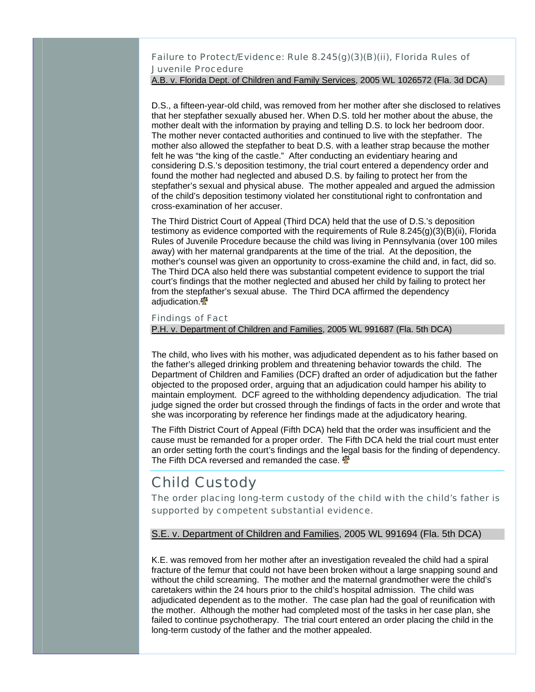Failure to Protect/Evidence: Rule 8.245(g)(3)(B)(ii), Florida Rules of Juvenile Procedure

#### A.B. v. Florida Dept. of Children and Family Services, 2005 WL 1026572 (Fla. 3d DCA)

D.S., a fifteen-year-old child, was removed from her mother after she disclosed to relatives that her stepfather sexually abused her. When D.S. told her mother about the abuse, the mother dealt with the information by praying and telling D.S. to lock her bedroom door. The mother never contacted authorities and continued to live with the stepfather. The mother also allowed the stepfather to beat D.S. with a leather strap because the mother felt he was "the king of the castle." After conducting an evidentiary hearing and considering D.S.'s deposition testimony, the trial court entered a dependency order and found the mother had neglected and abused D.S. by failing to protect her from the stepfather's sexual and physical abuse. The mother appealed and argued the admission of the child's deposition testimony violated her constitutional right to confrontation and cross-examination of her accuser.

The Third District Court of Appeal (Third DCA) held that the use of D.S.'s deposition testimony as evidence comported with the requirements of Rule  $8.245(g)(3)(B)(ii)$ , Florida Rules of Juvenile Procedure because the child was living in Pennsylvania (over 100 miles away) with her maternal grandparents at the time of the trial. At the deposition, the mother's counsel was given an opportunity to cross-examine the child and, in fact, did so. The Third DCA also held there was substantial competent evidence to support the trial court's findings that the mother neglected and abused her child by failing to protect her from the stepfather's sexual abuse. The Third DCA affirmed the dependency adjudication.<sup>16</sup>

#### Findings of Fact

#### P.H. v. Department of Children and Families, 2005 WL 991687 (Fla. 5th DCA)

The child, who lives with his mother, was adjudicated dependent as to his father based on the father's alleged drinking problem and threatening behavior towards the child. The Department of Children and Families (DCF) drafted an order of adjudication but the father objected to the proposed order, arguing that an adjudication could hamper his ability to maintain employment. DCF agreed to the withholding dependency adjudication. The trial judge signed the order but crossed through the findings of facts in the order and wrote that she was incorporating by reference her findings made at the adjudicatory hearing.

The Fifth District Court of Appeal (Fifth DCA) held that the order was insufficient and the cause must be remanded for a proper order. The Fifth DCA held the trial court must enter an order setting forth the court's findings and the legal basis for the finding of dependency. The Fifth DCA reversed and remanded the case.  $\mathbf{\Phi}$ 

## Child Custody

The order placing long-term custody of the child with the child's father is supported by competent substantial evidence.

#### S.E. v. Department of Children and Families, 2005 WL 991694 (Fla. 5th DCA)

K.E. was removed from her mother after an investigation revealed the child had a spiral fracture of the femur that could not have been broken without a large snapping sound and without the child screaming. The mother and the maternal grandmother were the child's caretakers within the 24 hours prior to the child's hospital admission. The child was adjudicated dependent as to the mother. The case plan had the goal of reunification with the mother. Although the mother had completed most of the tasks in her case plan, she failed to continue psychotherapy. The trial court entered an order placing the child in the long-term custody of the father and the mother appealed.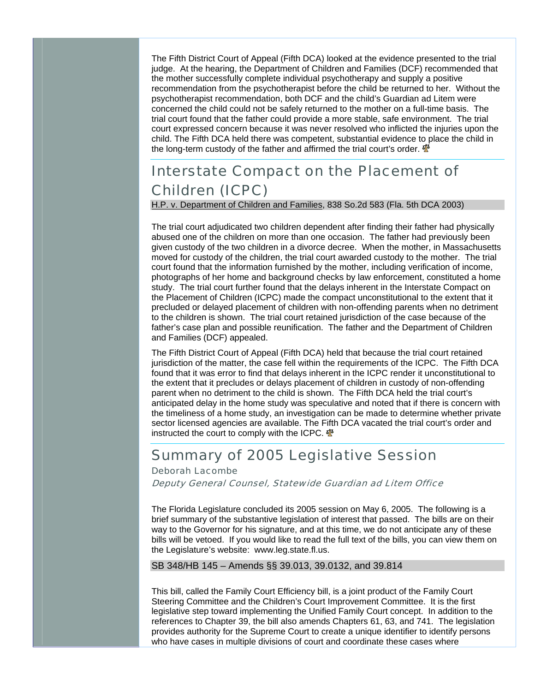The Fifth District Court of Appeal (Fifth DCA) looked at the evidence presented to the trial judge. At the hearing, the Department of Children and Families (DCF) recommended that the mother successfully complete individual psychotherapy and supply a positive recommendation from the psychotherapist before the child be returned to her. Without the psychotherapist recommendation, both DCF and the child's Guardian ad Litem were concerned the child could not be safely returned to the mother on a full-time basis. The trial court found that the father could provide a more stable, safe environment. The trial court expressed concern because it was never resolved who inflicted the injuries upon the child. The Fifth DCA held there was competent, substantial evidence to place the child in the long-term custody of the father and affirmed the trial court's order.  $\mathbf{\Phi}$ 

# Interstate Compact on the Placement of Children (ICPC)

H.P. v. Department of Children and Families, 838 So.2d 583 (Fla. 5th DCA 2003)

The trial court adjudicated two children dependent after finding their father had physically abused one of the children on more than one occasion. The father had previously been given custody of the two children in a divorce decree. When the mother, in Massachusetts moved for custody of the children, the trial court awarded custody to the mother. The trial court found that the information furnished by the mother, including verification of income, photographs of her home and background checks by law enforcement, constituted a home study. The trial court further found that the delays inherent in the Interstate Compact on the Placement of Children (ICPC) made the compact unconstitutional to the extent that it precluded or delayed placement of children with non-offending parents when no detriment to the children is shown. The trial court retained jurisdiction of the case because of the father's case plan and possible reunification. The father and the Department of Children and Families (DCF) appealed.

The Fifth District Court of Appeal (Fifth DCA) held that because the trial court retained jurisdiction of the matter, the case fell within the requirements of the ICPC. The Fifth DCA found that it was error to find that delays inherent in the ICPC render it unconstitutional to the extent that it precludes or delays placement of children in custody of non-offending parent when no detriment to the child is shown. The Fifth DCA held the trial court's anticipated delay in the home study was speculative and noted that if there is concern with the timeliness of a home study, an investigation can be made to determine whether private sector licensed agencies are available. The Fifth DCA vacated the trial court's order and instructed the court to comply with the ICPC.  $\mathbf{\Phi}$ 

## Summary of 2005 Legislative Session

#### Deborah Lacombe

Deputy General Counsel, Statewide Guardian ad Litem Office

The Florida Legislature concluded its 2005 session on May 6, 2005. The following is a brief summary of the substantive legislation of interest that passed. The bills are on their way to the Governor for his signature, and at this time, we do not anticipate any of these bills will be vetoed. If you would like to read the full text of the bills, you can view them on the Legislature's website: [www.leg.state.fl.us.](http://www.leg.state.fl.us/)

#### SB 348/HB 145 – Amends §§ 39.013, 39.0132, and 39.814

This bill, called the Family Court Efficiency bill, is a joint product of the Family Court Steering Committee and the Children's Court Improvement Committee. It is the first legislative step toward implementing the Unified Family Court concept. In addition to the references to Chapter 39, the bill also amends Chapters 61, 63, and 741. The legislation provides authority for the Supreme Court to create a unique identifier to identify persons who have cases in multiple divisions of court and coordinate these cases where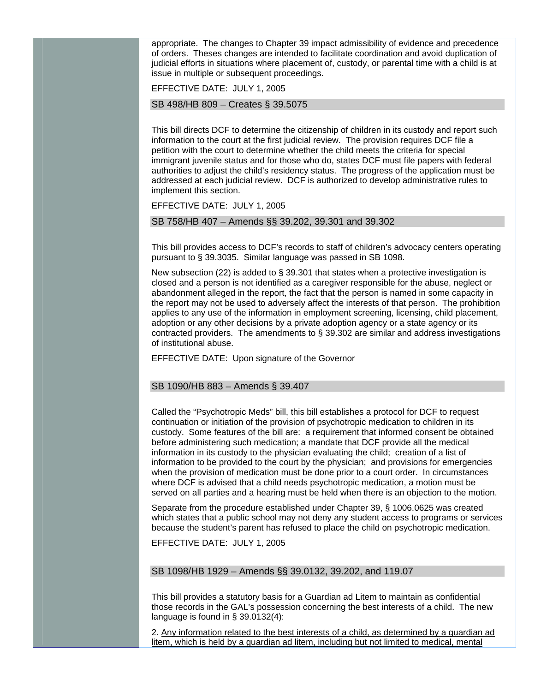appropriate. The changes to Chapter 39 impact admissibility of evidence and precedence of orders. Theses changes are intended to facilitate coordination and avoid duplication of judicial efforts in situations where placement of, custody, or parental time with a child is at issue in multiple or subsequent proceedings.

EFFECTIVE DATE: JULY 1, 2005

SB 498/HB 809 – Creates § 39.5075

This bill directs DCF to determine the citizenship of children in its custody and report such information to the court at the first judicial review. The provision requires DCF file a petition with the court to determine whether the child meets the criteria for special immigrant juvenile status and for those who do, states DCF must file papers with federal authorities to adjust the child's residency status. The progress of the application must be addressed at each judicial review. DCF is authorized to develop administrative rules to implement this section.

EFFECTIVE DATE: JULY 1, 2005

SB 758/HB 407 – Amends §§ 39.202, 39.301 and 39.302

This bill provides access to DCF's records to staff of children's advocacy centers operating pursuant to § 39.3035. Similar language was passed in SB 1098.

New subsection (22) is added to § 39.301 that states when a protective investigation is closed and a person is not identified as a caregiver responsible for the abuse, neglect or abandonment alleged in the report, the fact that the person is named in some capacity in the report may not be used to adversely affect the interests of that person. The prohibition applies to any use of the information in employment screening, licensing, child placement, adoption or any other decisions by a private adoption agency or a state agency or its contracted providers. The amendments to § 39.302 are similar and address investigations of institutional abuse.

EFFECTIVE DATE: Upon signature of the Governor

#### SB 1090/HB 883 – Amends § 39.407

Called the "Psychotropic Meds" bill, this bill establishes a protocol for DCF to request continuation or initiation of the provision of psychotropic medication to children in its custody. Some features of the bill are: a requirement that informed consent be obtained before administering such medication; a mandate that DCF provide all the medical information in its custody to the physician evaluating the child; creation of a list of information to be provided to the court by the physician; and provisions for emergencies when the provision of medication must be done prior to a court order. In circumstances where DCF is advised that a child needs psychotropic medication, a motion must be served on all parties and a hearing must be held when there is an objection to the motion.

Separate from the procedure established under Chapter 39, § 1006.0625 was created which states that a public school may not deny any student access to programs or services because the student's parent has refused to place the child on psychotropic medication.

EFFECTIVE DATE: JULY 1, 2005

#### SB 1098/HB 1929 – Amends §§ 39.0132, 39.202, and 119.07

This bill provides a statutory basis for a Guardian ad Litem to maintain as confidential those records in the GAL's possession concerning the best interests of a child. The new language is found in § 39.0132(4):

2. Any information related to the best interests of a child, as determined by a guardian ad litem, which is held by a guardian ad litem, including but not limited to medical, mental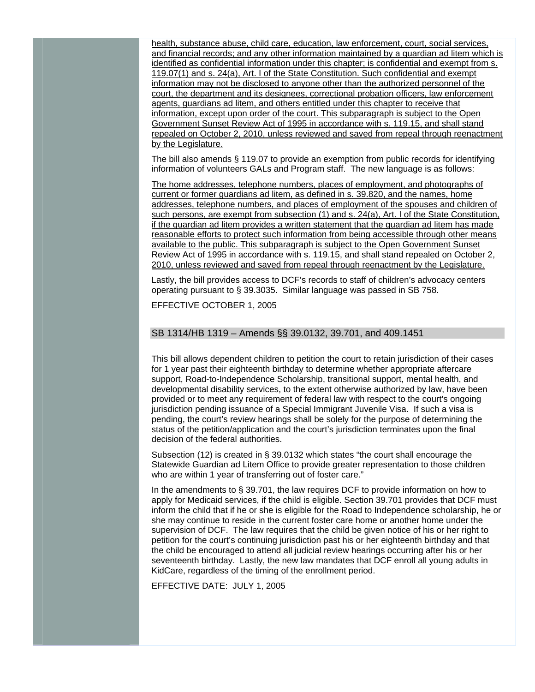health, substance abuse, child care, education, law enforcement, court, social services, and financial records; and any other information maintained by a guardian ad litem which is identified as confidential information under this chapter; is confidential and exempt from s. 119.07(1) and s. 24(a), Art. I of the State Constitution. Such confidential and exempt information may not be disclosed to anyone other than the authorized personnel of the court, the department and its designees, correctional probation officers, law enforcement agents, guardians ad litem, and others entitled under this chapter to receive that information, except upon order of the court. This subparagraph is subject to the Open Government Sunset Review Act of 1995 in accordance with s. 119.15, and shall stand repealed on October 2, 2010, unless reviewed and saved from repeal through reenactment by the Legislature.

The bill also amends § 119.07 to provide an exemption from public records for identifying information of volunteers GALs and Program staff. The new language is as follows:

The home addresses, telephone numbers, places of employment, and photographs of current or former guardians ad litem, as defined in s. 39.820, and the names, home addresses, telephone numbers, and places of employment of the spouses and children of such persons, are exempt from subsection (1) and s. 24(a), Art. I of the State Constitution, if the guardian ad litem provides a written statement that the guardian ad litem has made reasonable efforts to protect such information from being accessible through other means available to the public. This subparagraph is subject to the Open Government Sunset Review Act of 1995 in accordance with s. 119.15, and shall stand repealed on October 2, 2010, unless reviewed and saved from repeal through reenactment by the Legislature.

Lastly, the bill provides access to DCF's records to staff of children's advocacy centers operating pursuant to § 39.3035. Similar language was passed in SB 758.

EFFECTIVE OCTOBER 1, 2005

#### SB 1314/HB 1319 – Amends §§ 39.0132, 39.701, and 409.1451

This bill allows dependent children to petition the court to retain jurisdiction of their cases for 1 year past their eighteenth birthday to determine whether appropriate aftercare support, Road-to-Independence Scholarship, transitional support, mental health, and developmental disability services, to the extent otherwise authorized by law, have been provided or to meet any requirement of federal law with respect to the court's ongoing jurisdiction pending issuance of a Special Immigrant Juvenile Visa. If such a visa is pending, the court's review hearings shall be solely for the purpose of determining the status of the petition/application and the court's jurisdiction terminates upon the final decision of the federal authorities.

Subsection (12) is created in § 39.0132 which states "the court shall encourage the Statewide Guardian ad Litem Office to provide greater representation to those children who are within 1 year of transferring out of foster care."

In the amendments to § 39.701, the law requires DCF to provide information on how to apply for Medicaid services, if the child is eligible. Section 39.701 provides that DCF must inform the child that if he or she is eligible for the Road to Independence scholarship, he or she may continue to reside in the current foster care home or another home under the supervision of DCF. The law requires that the child be given notice of his or her right to petition for the court's continuing jurisdiction past his or her eighteenth birthday and that the child be encouraged to attend all judicial review hearings occurring after his or her seventeenth birthday. Lastly, the new law mandates that DCF enroll all young adults in KidCare, regardless of the timing of the enrollment period.

EFFECTIVE DATE: JULY 1, 2005